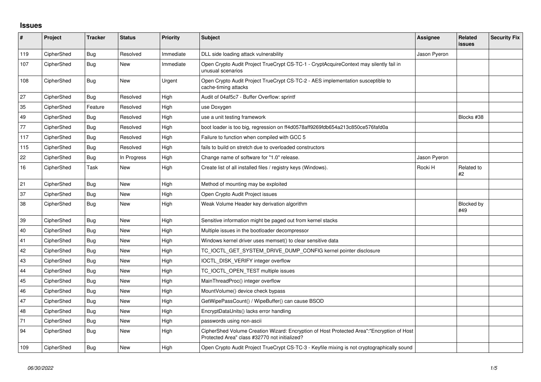## **Issues**

| $\sharp$ | Project    | <b>Tracker</b> | <b>Status</b> | <b>Priority</b> | <b>Subject</b>                                                                                                                             | <b>Assignee</b> | <b>Related</b><br><b>issues</b> | <b>Security Fix</b> |
|----------|------------|----------------|---------------|-----------------|--------------------------------------------------------------------------------------------------------------------------------------------|-----------------|---------------------------------|---------------------|
| 119      | CipherShed | Bug            | Resolved      | Immediate       | DLL side loading attack vulnerability                                                                                                      | Jason Pyeron    |                                 |                     |
| 107      | CipherShed | <b>Bug</b>     | New           | Immediate       | Open Crypto Audit Project TrueCrypt CS-TC-1 - CryptAcquireContext may silently fail in<br>unusual scenarios                                |                 |                                 |                     |
| 108      | CipherShed | <b>Bug</b>     | <b>New</b>    | Urgent          | Open Crypto Audit Project TrueCrypt CS-TC-2 - AES implementation susceptible to<br>cache-timing attacks                                    |                 |                                 |                     |
| 27       | CipherShed | <b>Bug</b>     | Resolved      | High            | Audit of 04af5c7 - Buffer Overflow: sprintf                                                                                                |                 |                                 |                     |
| 35       | CipherShed | Feature        | Resolved      | High            | use Doxygen                                                                                                                                |                 |                                 |                     |
| 49       | CipherShed | <b>Bug</b>     | Resolved      | High            | use a unit testing framework                                                                                                               |                 | Blocks #38                      |                     |
| 77       | CipherShed | <b>Bug</b>     | Resolved      | High            | boot loader is too big, regression on ff4d0578aff9269fdb654a213c850ce576fafd0a                                                             |                 |                                 |                     |
| 117      | CipherShed | Bug            | Resolved      | High            | Failure to function when compiled with GCC 5                                                                                               |                 |                                 |                     |
| 115      | CipherShed | Bug            | Resolved      | High            | fails to build on stretch due to overloaded constructors                                                                                   |                 |                                 |                     |
| 22       | CipherShed | Bug            | In Progress   | High            | Change name of software for "1.0" release.                                                                                                 | Jason Pyeron    |                                 |                     |
| 16       | CipherShed | Task           | New           | High            | Create list of all installed files / registry keys (Windows).                                                                              | Rocki H         | Related to<br>#2                |                     |
| 21       | CipherShed | Bug            | <b>New</b>    | High            | Method of mounting may be exploited                                                                                                        |                 |                                 |                     |
| 37       | CipherShed | <b>Bug</b>     | <b>New</b>    | High            | Open Crypto Audit Project issues                                                                                                           |                 |                                 |                     |
| 38       | CipherShed | Bug            | New           | High            | Weak Volume Header key derivation algorithm                                                                                                |                 | Blocked by<br>#49               |                     |
| 39       | CipherShed | Bug            | <b>New</b>    | High            | Sensitive information might be paged out from kernel stacks                                                                                |                 |                                 |                     |
| 40       | CipherShed | <b>Bug</b>     | New           | High            | Multiple issues in the bootloader decompressor                                                                                             |                 |                                 |                     |
| 41       | CipherShed | Bug            | <b>New</b>    | High            | Windows kernel driver uses memset() to clear sensitive data                                                                                |                 |                                 |                     |
| 42       | CipherShed | Bug            | <b>New</b>    | High            | TC_IOCTL_GET_SYSTEM_DRIVE_DUMP_CONFIG kernel pointer disclosure                                                                            |                 |                                 |                     |
| 43       | CipherShed | Bug            | New           | High            | IOCTL_DISK_VERIFY integer overflow                                                                                                         |                 |                                 |                     |
| 44       | CipherShed | Bug            | <b>New</b>    | High            | TC_IOCTL_OPEN_TEST multiple issues                                                                                                         |                 |                                 |                     |
| 45       | CipherShed | <b>Bug</b>     | New           | High            | MainThreadProc() integer overflow                                                                                                          |                 |                                 |                     |
| 46       | CipherShed | Bug            | <b>New</b>    | High            | MountVolume() device check bypass                                                                                                          |                 |                                 |                     |
| 47       | CipherShed | Bug            | <b>New</b>    | High            | GetWipePassCount() / WipeBuffer() can cause BSOD                                                                                           |                 |                                 |                     |
| 48       | CipherShed | Bug            | New           | High            | EncryptDataUnits() lacks error handling                                                                                                    |                 |                                 |                     |
| 71       | CipherShed | Bug            | <b>New</b>    | High            | passwords using non-ascii                                                                                                                  |                 |                                 |                     |
| 94       | CipherShed | Bug            | <b>New</b>    | High            | CipherShed Volume Creation Wizard: Encryption of Host Protected Area":"Encryption of Host<br>Protected Area" class #32770 not initialized? |                 |                                 |                     |
| 109      | CipherShed | Bug            | New           | High            | Open Crypto Audit Project TrueCrypt CS-TC-3 - Keyfile mixing is not cryptographically sound                                                |                 |                                 |                     |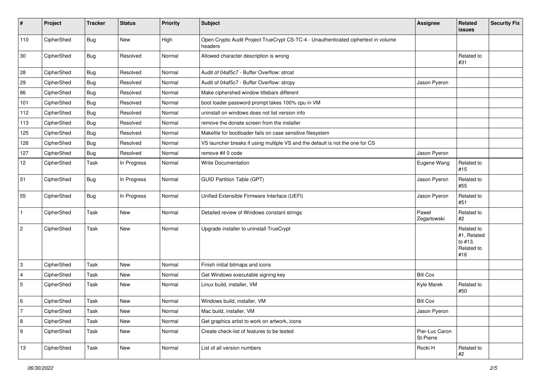| #                | Project    | <b>Tracker</b> | <b>Status</b> | <b>Priority</b> | <b>Subject</b>                                                                                | Assignee                    | Related<br>issues                                         | <b>Security Fix</b> |
|------------------|------------|----------------|---------------|-----------------|-----------------------------------------------------------------------------------------------|-----------------------------|-----------------------------------------------------------|---------------------|
| 110              | CipherShed | Bug            | New           | High            | Open Crypto Audit Project TrueCrypt CS-TC-4 - Unauthenticated ciphertext in volume<br>headers |                             |                                                           |                     |
| 30               | CipherShed | Bug            | Resolved      | Normal          | Allowed character description is wrong                                                        |                             | Related to<br>#31                                         |                     |
| 28               | CipherShed | <b>Bug</b>     | Resolved      | Normal          | Audit of 04af5c7 - Buffer Overflow: strcat                                                    |                             |                                                           |                     |
| 29               | CipherShed | <b>Bug</b>     | Resolved      | Normal          | Audit of 04af5c7 - Buffer Overflow: strcpy                                                    | Jason Pyeron                |                                                           |                     |
| 86               | CipherShed | <b>Bug</b>     | Resolved      | Normal          | Make ciphershed window titlebars different                                                    |                             |                                                           |                     |
| 101              | CipherShed | <b>Bug</b>     | Resolved      | Normal          | boot loader password prompt takes 100% cpu in VM                                              |                             |                                                           |                     |
| 112              | CipherShed | <b>Bug</b>     | Resolved      | Normal          | uninstall on windows does not list version info                                               |                             |                                                           |                     |
| 113              | CipherShed | <b>Bug</b>     | Resolved      | Normal          | remove the donate screen from the installer                                                   |                             |                                                           |                     |
| 125              | CipherShed | <b>Bug</b>     | Resolved      | Normal          | Makefile for bootloader fails on case sensitive filesystem                                    |                             |                                                           |                     |
| 126              | CipherShed | <b>Bug</b>     | Resolved      | Normal          | VS launcher breaks if using multiple VS and the default is not the one for CS                 |                             |                                                           |                     |
| 127              | CipherShed | <b>Bug</b>     | Resolved      | Normal          | remove #if 0 code                                                                             | Jason Pyeron                |                                                           |                     |
| 12               | CipherShed | Task           | In Progress   | Normal          | <b>Write Documentation</b>                                                                    | Eugene Wang                 | Related to<br>#15                                         |                     |
| 51               | CipherShed | Bug            | In Progress   | Normal          | <b>GUID Partition Table (GPT)</b>                                                             | Jason Pyeron                | Related to<br>#55                                         |                     |
| 55               | CipherShed | Bug            | In Progress   | Normal          | Unified Extensible Firmware Interface (UEFI)                                                  | Jason Pyeron                | Related to<br>#51                                         |                     |
| $\mathbf{1}$     | CipherShed | Task           | New           | Normal          | Detailed review of Windows constant strings                                                   | Paweł<br>Zegartowski        | Related to<br>#2                                          |                     |
| $\sqrt{2}$       | CipherShed | Task           | <b>New</b>    | Normal          | Upgrade installer to uninstall TrueCrypt                                                      |                             | Related to<br>#1, Related<br>to #13,<br>Related to<br>#16 |                     |
| 3                | CipherShed | Task           | New           | Normal          | Finish initial bitmaps and icons                                                              |                             |                                                           |                     |
| $\overline{4}$   | CipherShed | Task           | New           | Normal          | Get Windows executable signing key                                                            | <b>Bill Cox</b>             |                                                           |                     |
| $\mathbf 5$      | CipherShed | Task           | <b>New</b>    | Normal          | Linux build, installer, VM                                                                    | Kyle Marek                  | Related to<br>#50                                         |                     |
| 6                | CipherShed | Task           | New           | Normal          | Windows build, installer, VM                                                                  | <b>Bill Cox</b>             |                                                           |                     |
| $\overline{7}$   | CipherShed | Task           | New           | Normal          | Mac build, installer, VM                                                                      | Jason Pyeron                |                                                           |                     |
| $\, 8$           | CipherShed | Task           | New           | Normal          | Get graphics artist to work on artwork, icons                                                 |                             |                                                           |                     |
| $\boldsymbol{9}$ | CipherShed | Task           | New           | Normal          | Create check-list of features to be tested                                                    | Pier-Luc Caron<br>St-Pierre |                                                           |                     |
| $13$             | CipherShed | Task           | New           | Normal          | List of all version numbers                                                                   | Rocki H                     | Related to<br>#2                                          |                     |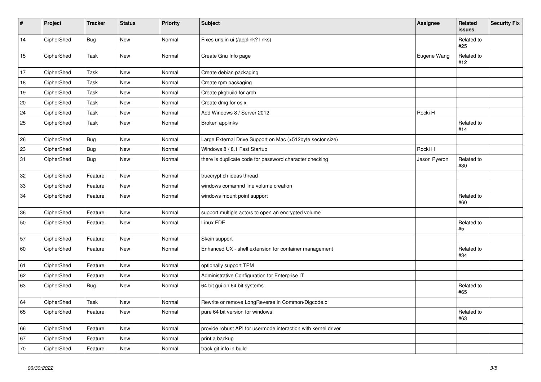| #  | Project    | <b>Tracker</b> | <b>Status</b> | <b>Priority</b> | <b>Subject</b>                                                 | Assignee     | Related<br>issues | <b>Security Fix</b> |
|----|------------|----------------|---------------|-----------------|----------------------------------------------------------------|--------------|-------------------|---------------------|
| 14 | CipherShed | <b>Bug</b>     | New           | Normal          | Fixes urls in ui (/applink? links)                             |              | Related to<br>#25 |                     |
| 15 | CipherShed | Task           | New           | Normal          | Create Gnu Info page                                           | Eugene Wang  | Related to<br>#12 |                     |
| 17 | CipherShed | Task           | New           | Normal          | Create debian packaging                                        |              |                   |                     |
| 18 | CipherShed | Task           | <b>New</b>    | Normal          | Create rpm packaging                                           |              |                   |                     |
| 19 | CipherShed | Task           | New           | Normal          | Create pkgbuild for arch                                       |              |                   |                     |
| 20 | CipherShed | Task           | New           | Normal          | Create dmg for os x                                            |              |                   |                     |
| 24 | CipherShed | Task           | New           | Normal          | Add Windows 8 / Server 2012                                    | Rocki H      |                   |                     |
| 25 | CipherShed | Task           | New           | Normal          | Broken applinks                                                |              | Related to<br>#14 |                     |
| 26 | CipherShed | <b>Bug</b>     | New           | Normal          | Large External Drive Support on Mac (>512byte sector size)     |              |                   |                     |
| 23 | CipherShed | Bug            | New           | Normal          | Windows 8 / 8.1 Fast Startup                                   | Rocki H      |                   |                     |
| 31 | CipherShed | <b>Bug</b>     | New           | Normal          | there is duplicate code for password character checking        | Jason Pyeron | Related to<br>#30 |                     |
| 32 | CipherShed | Feature        | New           | Normal          | truecrypt.ch ideas thread                                      |              |                   |                     |
| 33 | CipherShed | Feature        | New           | Normal          | windows comamnd line volume creation                           |              |                   |                     |
| 34 | CipherShed | Feature        | New           | Normal          | windows mount point support                                    |              | Related to<br>#60 |                     |
| 36 | CipherShed | Feature        | New           | Normal          | support multiple actors to open an encrypted volume            |              |                   |                     |
| 50 | CipherShed | Feature        | New           | Normal          | Linux FDE                                                      |              | Related to<br>#5  |                     |
| 57 | CipherShed | Feature        | New           | Normal          | Skein support                                                  |              |                   |                     |
| 60 | CipherShed | Feature        | New           | Normal          | Enhanced UX - shell extension for container management         |              | Related to<br>#34 |                     |
| 61 | CipherShed | Feature        | New           | Normal          | optionally support TPM                                         |              |                   |                     |
| 62 | CipherShed | Feature        | New           | Normal          | Administrative Configuration for Enterprise IT                 |              |                   |                     |
| 63 | CipherShed | <b>Bug</b>     | New           | Normal          | 64 bit gui on 64 bit systems                                   |              | Related to<br>#65 |                     |
| 64 | CipherShed | Task           | New           | Normal          | Rewrite or remove LongReverse in Common/Dlgcode.c              |              |                   |                     |
| 65 | CipherShed | Feature        | New           | Normal          | pure 64 bit version for windows                                |              | Related to<br>#63 |                     |
| 66 | CipherShed | Feature        | New           | Normal          | provide robust API for usermode interaction with kernel driver |              |                   |                     |
| 67 | CipherShed | Feature        | New           | Normal          | print a backup                                                 |              |                   |                     |
| 70 | CipherShed | Feature        | New           | Normal          | track git info in build                                        |              |                   |                     |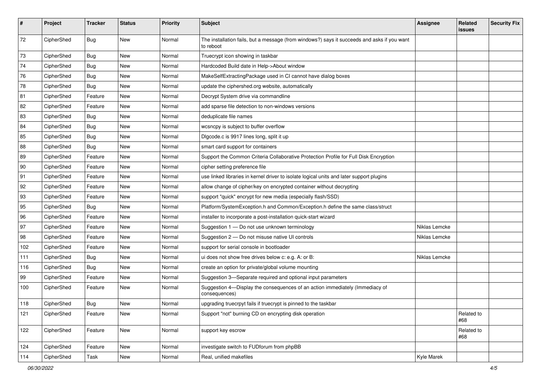| #          | Project    | <b>Tracker</b> | <b>Status</b> | <b>Priority</b> | <b>Subject</b>                                                                                           | <b>Assignee</b> | Related<br><b>issues</b> | <b>Security Fix</b> |
|------------|------------|----------------|---------------|-----------------|----------------------------------------------------------------------------------------------------------|-----------------|--------------------------|---------------------|
| 72         | CipherShed | <b>Bug</b>     | New           | Normal          | The installation fails, but a message (from windows?) says it succeeds and asks if you want<br>to reboot |                 |                          |                     |
| 73         | CipherShed | <b>Bug</b>     | New           | Normal          | Truecrypt icon showing in taskbar                                                                        |                 |                          |                     |
| 74         | CipherShed | Bug            | <b>New</b>    | Normal          | Hardcoded Build date in Help->About window                                                               |                 |                          |                     |
| ${\bf 76}$ | CipherShed | <b>Bug</b>     | New           | Normal          | MakeSelfExtractingPackage used in CI cannot have dialog boxes                                            |                 |                          |                     |
| 78         | CipherShed | <b>Bug</b>     | New           | Normal          | update the ciphershed.org website, automatically                                                         |                 |                          |                     |
| 81         | CipherShed | Feature        | New           | Normal          | Decrypt System drive via commandline                                                                     |                 |                          |                     |
| 82         | CipherShed | Feature        | New           | Normal          | add sparse file detection to non-windows versions                                                        |                 |                          |                     |
| 83         | CipherShed | <b>Bug</b>     | New           | Normal          | deduplicate file names                                                                                   |                 |                          |                     |
| 84         | CipherShed | <b>Bug</b>     | New           | Normal          | wcsncpy is subject to buffer overflow                                                                    |                 |                          |                     |
| 85         | CipherShed | <b>Bug</b>     | New           | Normal          | Digcode.c is 9917 lines long, split it up                                                                |                 |                          |                     |
| 88         | CipherShed | Bug            | <b>New</b>    | Normal          | smart card support for containers                                                                        |                 |                          |                     |
| 89         | CipherShed | Feature        | New           | Normal          | Support the Common Criteria Collaborative Protection Profile for Full Disk Encryption                    |                 |                          |                     |
| 90         | CipherShed | Feature        | New           | Normal          | cipher setting preference file                                                                           |                 |                          |                     |
| 91         | CipherShed | Feature        | New           | Normal          | use linked libraries in kernel driver to isolate logical units and later support plugins                 |                 |                          |                     |
| 92         | CipherShed | Feature        | New           | Normal          | allow change of cipher/key on encrypted container without decrypting                                     |                 |                          |                     |
| 93         | CipherShed | Feature        | New           | Normal          | support "quick" encrypt for new media (especially flash/SSD)                                             |                 |                          |                     |
| 95         | CipherShed | <b>Bug</b>     | New           | Normal          | Platform/SystemException.h and Common/Exception.h define the same class/struct                           |                 |                          |                     |
| 96         | CipherShed | Feature        | New           | Normal          | installer to incorporate a post-installation quick-start wizard                                          |                 |                          |                     |
| 97         | CipherShed | Feature        | New           | Normal          | Suggestion 1 - Do not use unknown terminology                                                            | Niklas Lemcke   |                          |                     |
| 98         | CipherShed | Feature        | New           | Normal          | Suggestion 2 - Do not misuse native UI controls                                                          | Niklas Lemcke   |                          |                     |
| 102        | CipherShed | Feature        | New           | Normal          | support for serial console in bootloader                                                                 |                 |                          |                     |
| 111        | CipherShed | <b>Bug</b>     | New           | Normal          | ui does not show free drives below c: e.g. A: or B:                                                      | Niklas Lemcke   |                          |                     |
| 116        | CipherShed | <b>Bug</b>     | New           | Normal          | create an option for private/global volume mounting                                                      |                 |                          |                     |
| 99         | CipherShed | Feature        | New           | Normal          | Suggestion 3-Separate required and optional input parameters                                             |                 |                          |                     |
| 100        | CipherShed | Feature        | New           | Normal          | Suggestion 4-Display the consequences of an action immediately (Immediacy of<br>consequences)            |                 |                          |                     |
| 118        | CipherShed | Bug            | New           | Normal          | upgrading truecrpyt fails if truecrypt is pinned to the taskbar                                          |                 |                          |                     |
| 121        | CipherShed | Feature        | New           | Normal          | Support "not" burning CD on encrypting disk operation                                                    |                 | Related to<br>#68        |                     |
| 122        | CipherShed | Feature        | New           | Normal          | support key escrow                                                                                       |                 | Related to<br>#68        |                     |
| 124        | CipherShed | Feature        | New           | Normal          | investigate switch to FUDforum from phpBB                                                                |                 |                          |                     |
| 114        | CipherShed | Task           | New           | Normal          | Real, unified makefiles                                                                                  | Kyle Marek      |                          |                     |